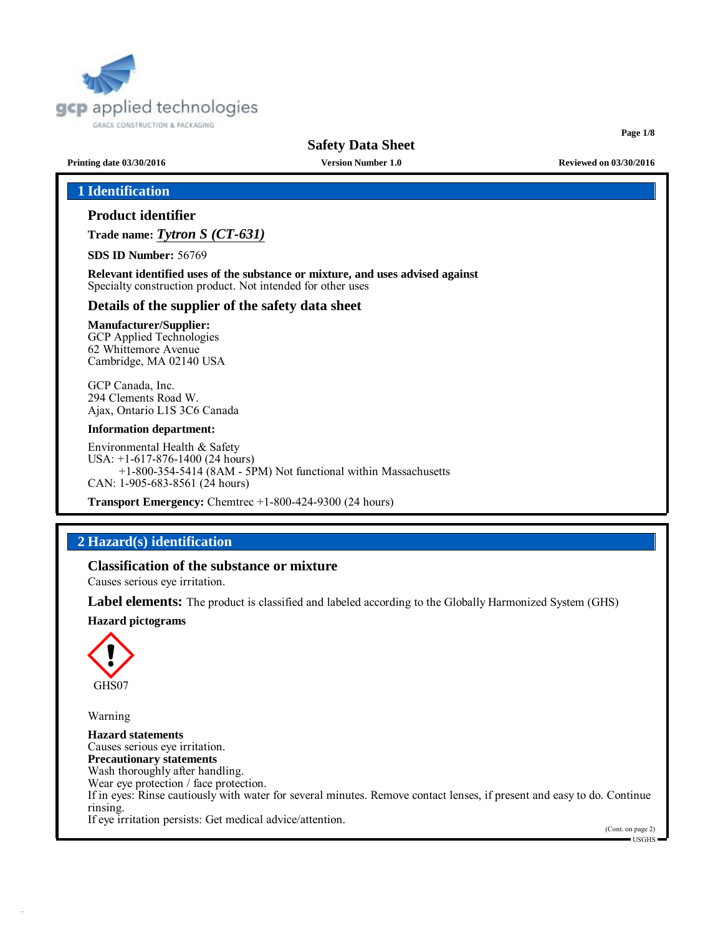

**Page 1/8**

**Printing date 03/30/2016 Version Number 1.0 Reviewed on 03/30/2016**

# **1 Identification**

### **Product identifier**

**Trade name:** *Tytron S (CT-631)*

**SDS ID Number:** 56769

**Relevant identified uses of the substance or mixture, and uses advised against** Specialty construction product. Not intended for other uses

### **Details of the supplier of the safety data sheet**

#### **Manufacturer/Supplier:**

GCP Applied Technologies 62 Whittemore Avenue Cambridge, MA 02140 USA

GCP Canada, Inc. 294 Clements Road W. Ajax, Ontario L1S 3C6 Canada

#### **Information department:**

Environmental Health & Safety USA: +1-617-876-1400 (24 hours) +1-800-354-5414 (8AM - 5PM) Not functional within Massachusetts CAN: 1-905-683-8561 (24 hours)

**Transport Emergency:** Chemtrec +1-800-424-9300 (24 hours)

# **2 Hazard(s) identification**

### **Classification of the substance or mixture**

Causes serious eye irritation.

**Label elements:** The product is classified and labeled according to the Globally Harmonized System (GHS)

#### **Hazard pictograms**



Warning

**Hazard statements** Causes serious eye irritation. **Precautionary statements** Wash thoroughly after handling. Wear eye protection / face protection. If in eyes: Rinse cautiously with water for several minutes. Remove contact lenses, if present and easy to do. Continue rinsing. If eye irritation persists: Get medical advice/attention.

(Cont. on page 2) USGHS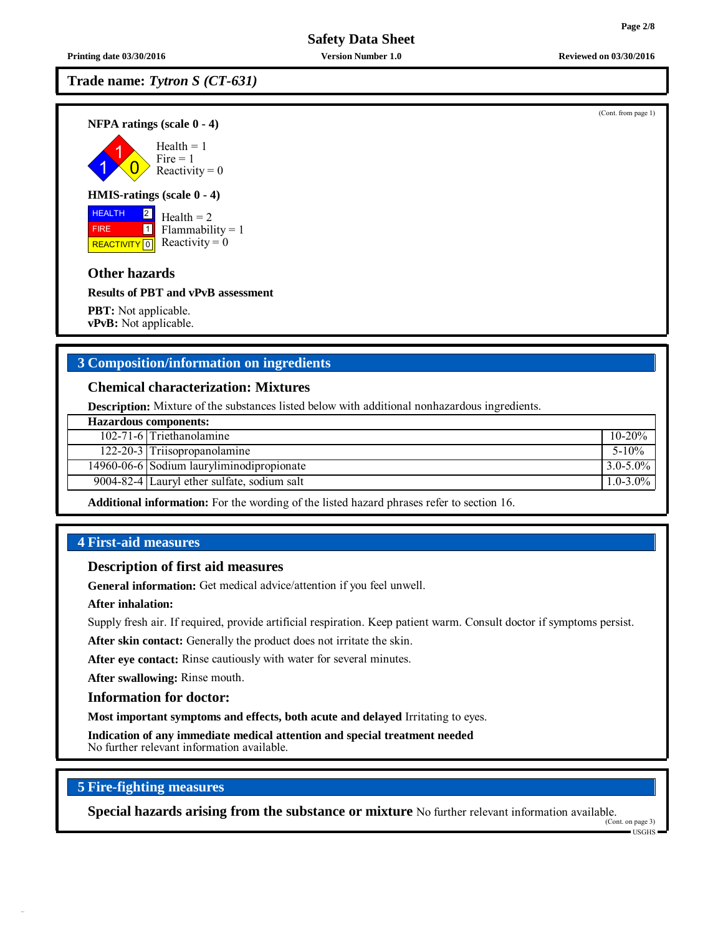**Printing date 03/30/2016 Version Number 1.0 Reviewed on 03/30/2016**

**Trade name:** *Tytron S (CT-631)*

**NFPA ratings (scale 0 - 4)**



#### **HMIS-ratings (scale 0 - 4)**

**HEALTH FIRE** REACTIVITY  $\boxed{0}$  Reactivity = 0  $|2|$ 1 Health  $= 2$  $Flammability = 1$ 

# **Other hazards**

**Results of PBT and vPvB assessment**

**PBT:** Not applicable. **vPvB:** Not applicable.

# **3 Composition/information on ingredients**

# **Chemical characterization: Mixtures**

**Description:** Mixture of the substances listed below with additional nonhazardous ingredients.

| <b>Hazardous components:</b> |                                             |               |  |  |
|------------------------------|---------------------------------------------|---------------|--|--|
|                              | 102-71-6 Triethanolamine                    | $10 - 20\%$   |  |  |
|                              | 122-20-3 Triisopropanolamine                | $5 - 10\%$    |  |  |
|                              | 14960-06-6 Sodium lauryliminodipropionate   | $3.0 - 5.0\%$ |  |  |
|                              | 9004-82-4 Lauryl ether sulfate, sodium salt | $1.0 - 3.0\%$ |  |  |
|                              |                                             |               |  |  |

**Additional information:** For the wording of the listed hazard phrases refer to section 16.

### **4 First-aid measures**

#### **Description of first aid measures**

**General information:** Get medical advice/attention if you feel unwell.

#### **After inhalation:**

Supply fresh air. If required, provide artificial respiration. Keep patient warm. Consult doctor if symptoms persist.

**After skin contact:** Generally the product does not irritate the skin.

**After eye contact:** Rinse cautiously with water for several minutes.

**After swallowing:** Rinse mouth.

#### **Information for doctor:**

**Most important symptoms and effects, both acute and delayed** Irritating to eyes.

**Indication of any immediate medical attention and special treatment needed**

No further relevant information available.

# **5 Fire-fighting measures**

**Special hazards arising from the substance or mixture** No further relevant information available.

(Cont. on page 3) USGHS



(Cont. from page 1)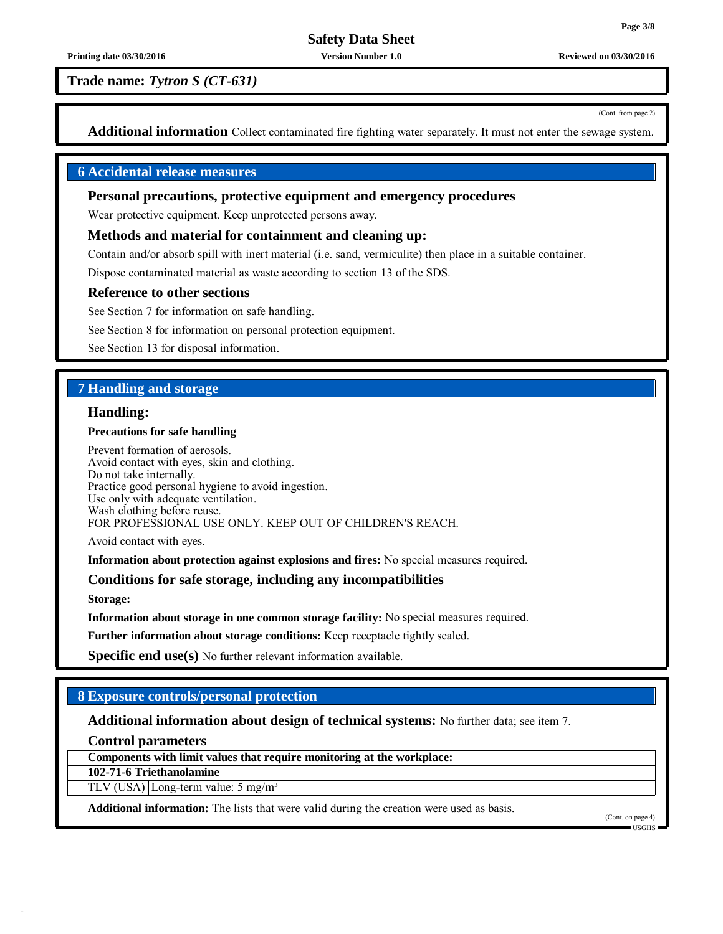**Printing date 03/30/2016 Version Number 1.0 Reviewed on 03/30/2016**

**Trade name:** *Tytron S (CT-631)*

(Cont. from page 2)

**Additional information** Collect contaminated fire fighting water separately. It must not enter the sewage system.

## **6 Accidental release measures**

#### **Personal precautions, protective equipment and emergency procedures**

Wear protective equipment. Keep unprotected persons away.

#### **Methods and material for containment and cleaning up:**

Contain and/or absorb spill with inert material (i.e. sand, vermiculite) then place in a suitable container.

Dispose contaminated material as waste according to section 13 of the SDS.

#### **Reference to other sections**

See Section 7 for information on safe handling.

See Section 8 for information on personal protection equipment.

See Section 13 for disposal information.

# **7 Handling and storage**

#### **Handling:**

#### **Precautions for safe handling**

Prevent formation of aerosols. Avoid contact with eyes, skin and clothing. Do not take internally. Practice good personal hygiene to avoid ingestion. Use only with adequate ventilation. Wash clothing before reuse. FOR PROFESSIONAL USE ONLY. KEEP OUT OF CHILDREN'S REACH.

Avoid contact with eyes.

**Information about protection against explosions and fires:** No special measures required.

#### **Conditions for safe storage, including any incompatibilities**

**Storage:**

**Information about storage in one common storage facility:** No special measures required.

**Further information about storage conditions:** Keep receptacle tightly sealed.

**Specific end use(s)** No further relevant information available.

## **8 Exposure controls/personal protection**

### **Additional information about design of technical systems:** No further data; see item 7.

**Control parameters**

**Components with limit values that require monitoring at the workplace:**

**102-71-6 Triethanolamine**

TLV (USA) Long-term value:  $5 \text{ mg/m}^3$ 

**Additional information:** The lists that were valid during the creation were used as basis.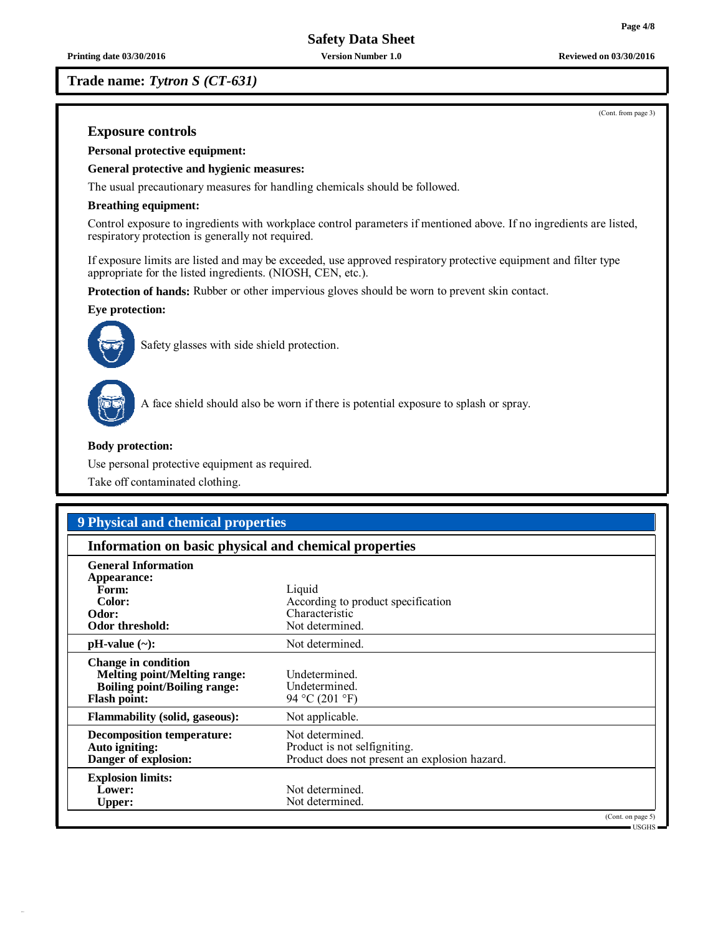**Printing date 03/30/2016 Version Number 1.0 Reviewed on 03/30/2016**

**Trade name:** *Tytron S (CT-631)*

## **Exposure controls**

**Personal protective equipment:**

#### **General protective and hygienic measures:**

The usual precautionary measures for handling chemicals should be followed.

#### **Breathing equipment:**

Control exposure to ingredients with workplace control parameters if mentioned above. If no ingredients are listed, respiratory protection is generally not required.

If exposure limits are listed and may be exceeded, use approved respiratory protective equipment and filter type appropriate for the listed ingredients. (NIOSH, CEN, etc.).

**Protection of hands:** Rubber or other impervious gloves should be worn to prevent skin contact.

#### **Eye protection:**



Safety glasses with side shield protection.



A face shield should also be worn if there is potential exposure to splash or spray.

#### **Body protection:**

Use personal protective equipment as required.

Take off contaminated clothing.

## **9 Physical and chemical properties**

# **Information on basic physical and chemical properties General Information Appearance: Form:** Liquid Color: Liquid Color: **Color:** According to product specification **Odor:** Characteristic **Odor** threshold: **Characteristic Characteristic Odor** threshold: **pH-value** (~): Not determined. **Change in condition Melting point/Melting range:** Undetermined.<br> **Roiling point/Roiling range:** Undetermined. **Boiling point/Boiling range: Flash point:** 94 °C (201 °F) **Flammability** (solid, gaseous): Not applicable. **Decomposition temperature:** Not determined.<br> **Auto igniting:** Product is not se **Auto igniting:** Product is not selfigniting.<br> **Danger of explosion:** Product does not present a Product does not present an explosion hazard. **Explosion limits: Lower:** Not determined.<br> **Upper:** Not determined. Not determined. (Cont. on page 5)

USGHS

(Cont. from page 3)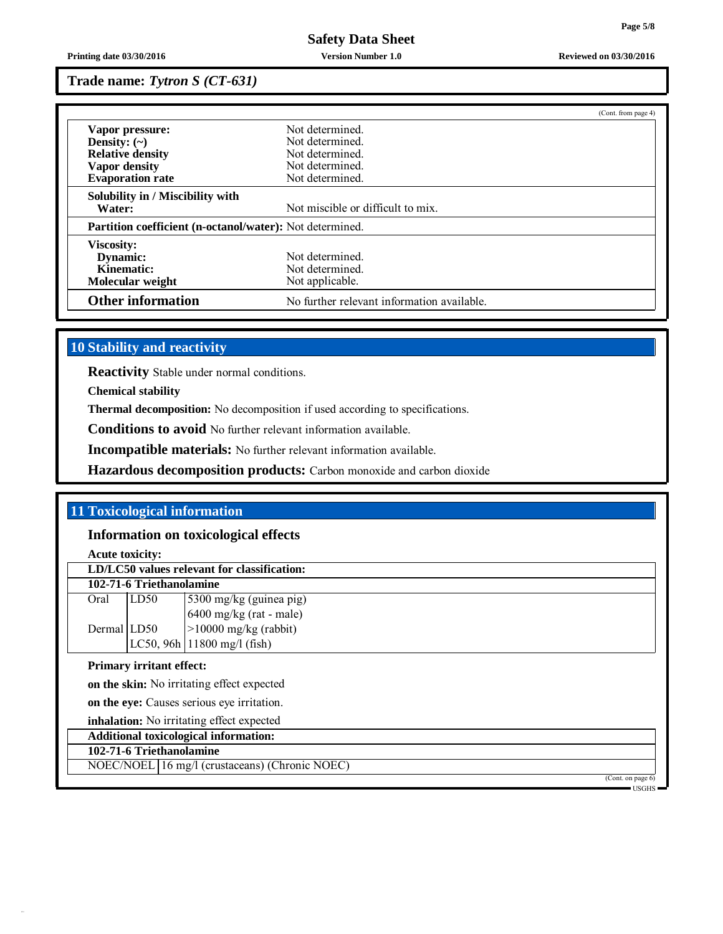**Printing date 03/30/2016 Version Number 1.0 Reviewed on 03/30/2016**

**Trade name:** *Tytron S (CT-631)*

|                                                                 |                                            | (Cont. from page 4) |  |  |
|-----------------------------------------------------------------|--------------------------------------------|---------------------|--|--|
| Vapor pressure:                                                 | Not determined                             |                     |  |  |
| Density: $(\sim)$                                               | Not determined.                            |                     |  |  |
| <b>Relative density</b>                                         | Not determined.                            |                     |  |  |
| Vapor density                                                   | Not determined.                            |                     |  |  |
| <b>Evaporation</b> rate                                         | Not determined.                            |                     |  |  |
| Solubility in / Miscibility with                                |                                            |                     |  |  |
| Water:                                                          | Not miscible or difficult to mix.          |                     |  |  |
| <b>Partition coefficient (n-octanol/water):</b> Not determined. |                                            |                     |  |  |
| <b>Viscosity:</b>                                               |                                            |                     |  |  |
| Dynamic:                                                        | Not determined.                            |                     |  |  |
| Kinematic:                                                      | Not determined                             |                     |  |  |
| Molecular weight                                                | Not applicable.                            |                     |  |  |
| <b>Other information</b>                                        | No further relevant information available. |                     |  |  |

## **10 Stability and reactivity**

**Reactivity** Stable under normal conditions.

**Chemical stability**

**Thermal decomposition:** No decomposition if used according to specifications.

**Conditions to avoid** No further relevant information available.

**Incompatible materials:** No further relevant information available.

**Hazardous decomposition products:** Carbon monoxide and carbon dioxide

# **11 Toxicological information**

**Information on toxicological effects**

**Acute toxicity:**

| LD/LC50 values relevant for classification: |      |                               |  |  |  |  |
|---------------------------------------------|------|-------------------------------|--|--|--|--|
| 102-71-6 Triethanolamine                    |      |                               |  |  |  |  |
| Oral                                        | LD50 | 5300 mg/kg (guinea pig)       |  |  |  |  |
|                                             |      | $6400$ mg/kg (rat - male)     |  |  |  |  |
| Dermal LD50                                 |      | $>10000$ mg/kg (rabbit)       |  |  |  |  |
|                                             |      | LC50, 96h   11800 mg/l (fish) |  |  |  |  |
| Primary irritant effect:                    |      |                               |  |  |  |  |

**on the skin:** No irritating effect expected

**on the eye:** Causes serious eye irritation.

**inhalation:** No irritating effect expected

**Additional toxicological information: 102-71-6 Triethanolamine**

NOEC/NOEL 16 mg/l (crustaceans) (Chronic NOEC)

(Cont. on page 6) USGHS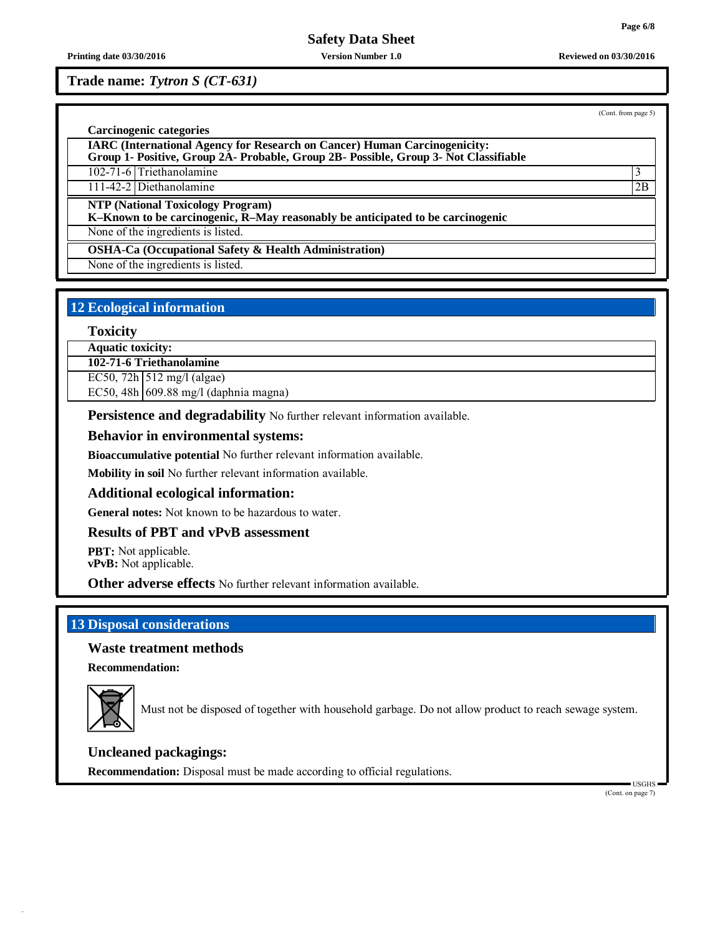#### **Printing date 03/30/2016 Version Number 1.0 Reviewed on 03/30/2016**

**Trade name:** *Tytron S (CT-631)*

(Cont. from page 5)

#### **Carcinogenic categories**

**IARC (International Agency for Research on Cancer) Human Carcinogenicity:**

**Group 1- Positive, Group 2A- Probable, Group 2B- Possible, Group 3- Not Classifiable**

102-71-6 Triethanolamine 3 111-42-2 Diethanolamine 2B

**NTP (National Toxicology Program) K–Known to be carcinogenic, R–May reasonably be anticipated to be carcinogenic**

None of the ingredients is listed.

**OSHA-Ca (Occupational Safety & Health Administration)**

None of the ingredients is listed.

## **12 Ecological information**

**Toxicity**

**Aquatic toxicity:**

**102-71-6 Triethanolamine**

EC50, 72h  $\vert$  512 mg/l (algae)

EC50, 48h  $\vert$  609.88 mg/l (daphnia magna)

**Persistence and degradability** No further relevant information available.

### **Behavior in environmental systems:**

**Bioaccumulative potential** No further relevant information available.

**Mobility in soil** No further relevant information available.

### **Additional ecological information:**

**General notes:** Not known to be hazardous to water.

# **Results of PBT and vPvB assessment**

**PBT:** Not applicable. **vPvB:** Not applicable.

**Other adverse effects** No further relevant information available.

# **13 Disposal considerations**

## **Waste treatment methods**

**Recommendation:**



Must not be disposed of together with household garbage. Do not allow product to reach sewage system.

**Uncleaned packagings:**

**Recommendation:** Disposal must be made according to official regulations.

(Cont. on page 7)

USGHS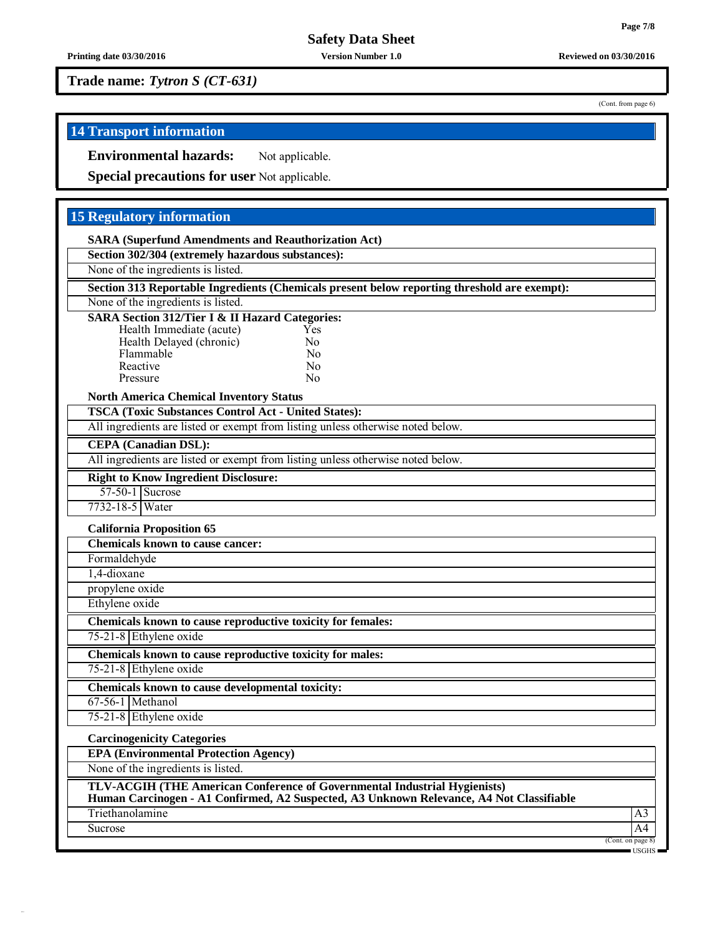**Printing date 03/30/2016 Version Number 1.0 Reviewed on 03/30/2016**

**Trade name:** *Tytron S (CT-631)*

# **14 Transport information**

**Environmental hazards:** Not applicable.

**Special precautions for user** Not applicable.

# **15 Regulatory information**

| <b>SARA (Superfund Amendments and Reauthorization Act)</b>                                                  |    |
|-------------------------------------------------------------------------------------------------------------|----|
| Section 302/304 (extremely hazardous substances):                                                           |    |
| None of the ingredients is listed.                                                                          |    |
| Section 313 Reportable Ingredients (Chemicals present below reporting threshold are exempt):                |    |
| None of the ingredients is listed.                                                                          |    |
| <b>SARA Section 312/Tier I &amp; II Hazard Categories:</b>                                                  |    |
| Health Immediate (acute)<br>Yes<br>Health Delayed (chronic)<br>No                                           |    |
| Flammable<br>N <sub>0</sub>                                                                                 |    |
| Reactive<br>No                                                                                              |    |
| Pressure<br>$\rm No$                                                                                        |    |
| <b>North America Chemical Inventory Status</b>                                                              |    |
| <b>TSCA (Toxic Substances Control Act - United States):</b>                                                 |    |
| All ingredients are listed or exempt from listing unless otherwise noted below.                             |    |
| <b>CEPA</b> (Canadian DSL):                                                                                 |    |
| All ingredients are listed or exempt from listing unless otherwise noted below.                             |    |
| <b>Right to Know Ingredient Disclosure:</b>                                                                 |    |
| $57-50-1$ Sucrose                                                                                           |    |
| 7732-18-5 Water                                                                                             |    |
| <b>California Proposition 65</b>                                                                            |    |
| <b>Chemicals known to cause cancer:</b>                                                                     |    |
| Formaldehyde                                                                                                |    |
| $1,4$ -dioxane                                                                                              |    |
| propylene oxide                                                                                             |    |
| Ethylene oxide                                                                                              |    |
| Chemicals known to cause reproductive toxicity for females:                                                 |    |
| 75-21-8 Ethylene oxide                                                                                      |    |
| Chemicals known to cause reproductive toxicity for males:                                                   |    |
| 75-21-8 Ethylene oxide                                                                                      |    |
| Chemicals known to cause developmental toxicity:                                                            |    |
| $67-56-1$ Methanol                                                                                          |    |
| 75-21-8 Ethylene oxide                                                                                      |    |
| <b>Carcinogenicity Categories</b>                                                                           |    |
| <b>EPA (Environmental Protection Agency)</b>                                                                |    |
| None of the ingredients is listed.                                                                          |    |
| TLV-ACGIH (THE American Conference of Governmental Industrial Hygienists)                                   |    |
| Human Carcinogen - A1 Confirmed, A2 Suspected, A3 Unknown Relevance, A4 Not Classifiable<br>Triethanolamine | A3 |
| Sucrose                                                                                                     | A4 |
|                                                                                                             |    |

### (Cont. from page 6)